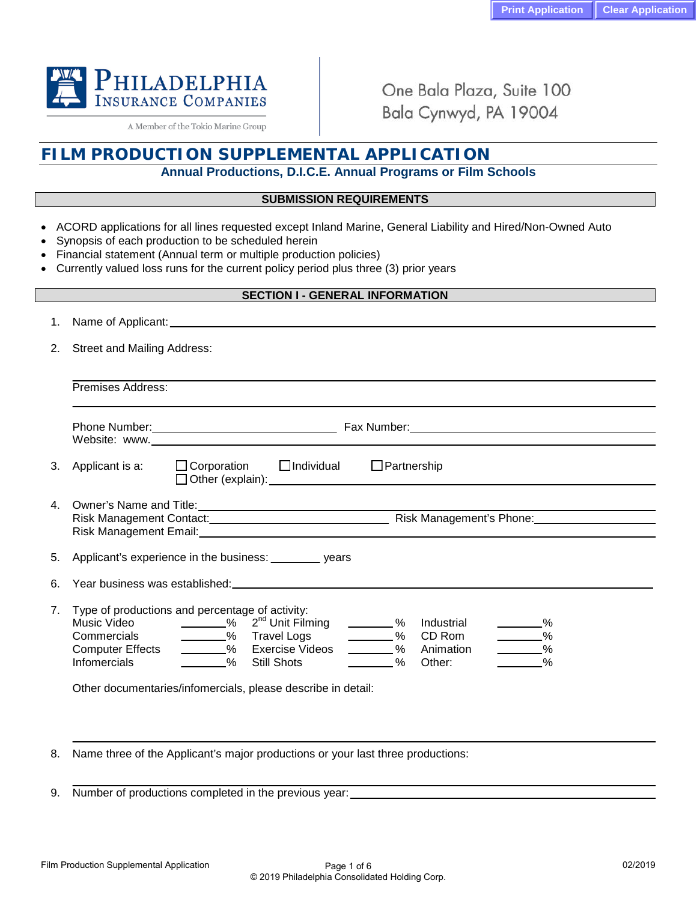

A Member of the Tokio Marine Group

One Bala Plaza, Suite 100 Bala Cynwyd, PA 19004

# **FILM PRODUCTION SUPPLEMENTAL APPLICATION**

# **Annual Productions, D.I.C.E. Annual Programs or Film Schools**

### **SUBMISSION REQUIREMENTS**

- ACORD applications for all lines requested except Inland Marine, General Liability and Hired/Non-Owned Auto
- Synopsis of each production to be scheduled herein
- Financial statement (Annual term or multiple production policies)
- Currently valued loss runs for the current policy period plus three (3) prior years

### **SECTION I - GENERAL INFORMATION**

| <b>Street and Mailing Address:</b><br>2.                                                                                                                                                                                                                                                                                                                                                                                                                                                                                                |  |  |  |  |  |  |  |
|-----------------------------------------------------------------------------------------------------------------------------------------------------------------------------------------------------------------------------------------------------------------------------------------------------------------------------------------------------------------------------------------------------------------------------------------------------------------------------------------------------------------------------------------|--|--|--|--|--|--|--|
| Premises Address:                                                                                                                                                                                                                                                                                                                                                                                                                                                                                                                       |  |  |  |  |  |  |  |
|                                                                                                                                                                                                                                                                                                                                                                                                                                                                                                                                         |  |  |  |  |  |  |  |
| Applicant is a: $\Box$ Corporation $\Box$ Individual<br>$\Box$ Partnership                                                                                                                                                                                                                                                                                                                                                                                                                                                              |  |  |  |  |  |  |  |
| 4. Owner's Name and Title: 2008 2009 2010 2021 2022 2023 2024 2022 2023 2024 2022 2023 2024 2022 2023 2024 20                                                                                                                                                                                                                                                                                                                                                                                                                           |  |  |  |  |  |  |  |
| Applicant's experience in the business: _________ years                                                                                                                                                                                                                                                                                                                                                                                                                                                                                 |  |  |  |  |  |  |  |
|                                                                                                                                                                                                                                                                                                                                                                                                                                                                                                                                         |  |  |  |  |  |  |  |
| Type of productions and percentage of activity:<br>$\frac{1}{2}$ % $\frac{1}{2}$ 2 <sup>nd</sup> Unit Filming<br>Music Video<br>$\sim$ %<br>Industrial<br>$\_\_\_\%$<br>________% CD Rom<br>- % Travel Logs<br>$\frac{1}{\sqrt{2}}$ %<br>Commercials<br>________% Exercise Videos<br>$\frac{1}{\sqrt{2}}$ %<br><b>Computer Effects</b><br>________% Animation<br>$\%$<br>$\frac{0}{0}$<br>$\frac{1}{\sqrt{2}}$ %<br><b>Infomercials</b><br><b>Still Shots</b><br>Other:<br>Other documentaries/infomercials, please describe in detail: |  |  |  |  |  |  |  |
|                                                                                                                                                                                                                                                                                                                                                                                                                                                                                                                                         |  |  |  |  |  |  |  |

8. Name three of the Applicant's major productions or your last three productions:

9. Number of productions completed in the previous year: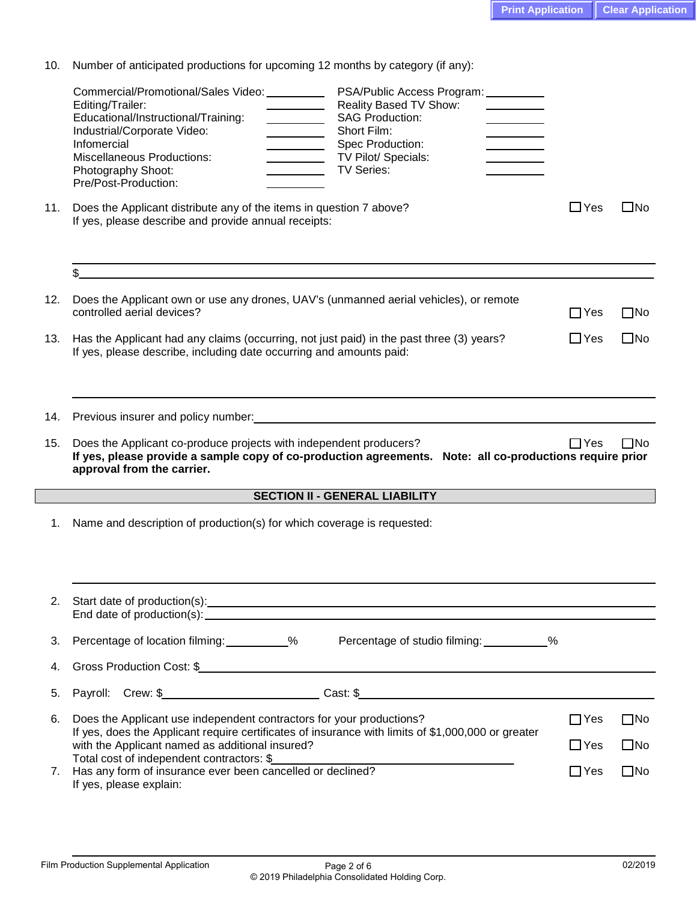|  |  |  |  | 10. Number of anticipated productions for upcoming 12 months by category (if any): |  |  |  |
|--|--|--|--|------------------------------------------------------------------------------------|--|--|--|
|--|--|--|--|------------------------------------------------------------------------------------|--|--|--|

|     | Commercial/Promotional/Sales Video: __________<br>PSA/Public Access Program: 1997<br>Reality Based TV Show:<br>Editing/Trailer:<br><b>SAG Production:</b><br>Educational/Instructional/Training:<br>$\overline{\phantom{a}}$<br>Industrial/Corporate Video:<br>Short Film:<br>Infomercial<br>Spec Production:<br><b>Miscellaneous Productions:</b><br>TV Pilot/ Specials:<br>Photography Shoot:<br><b>TV Series:</b><br>Pre/Post-Production: |            |              |
|-----|----------------------------------------------------------------------------------------------------------------------------------------------------------------------------------------------------------------------------------------------------------------------------------------------------------------------------------------------------------------------------------------------------------------------------------------------|------------|--------------|
| 11. | Does the Applicant distribute any of the items in question 7 above?<br>If yes, please describe and provide annual receipts:                                                                                                                                                                                                                                                                                                                  | $\Box$ Yes | $\square$ No |
|     | \$                                                                                                                                                                                                                                                                                                                                                                                                                                           |            |              |
| 12. | Does the Applicant own or use any drones, UAV's (unmanned aerial vehicles), or remote<br>controlled aerial devices?                                                                                                                                                                                                                                                                                                                          | $\Box$ Yes | $\square$ No |
| 13. | Has the Applicant had any claims (occurring, not just paid) in the past three (3) years?<br>If yes, please describe, including date occurring and amounts paid:                                                                                                                                                                                                                                                                              | $\Box$ Yes | $\square$ No |
| 14. | Previous insurer and policy number: example and policy numbers are all the state of the state of the state of the state of the state of the state of the state of the state of the state of the state of the state of the stat                                                                                                                                                                                                               |            |              |
| 15. | Does the Applicant co-produce projects with independent producers?<br>If yes, please provide a sample copy of co-production agreements. Note: all co-productions require prior<br>approval from the carrier.                                                                                                                                                                                                                                 | $\Box$ Yes | $\square$ No |
|     | <b>SECTION II - GENERAL LIABILITY</b>                                                                                                                                                                                                                                                                                                                                                                                                        |            |              |
| 1.  | Name and description of production(s) for which coverage is requested:                                                                                                                                                                                                                                                                                                                                                                       |            |              |
| 2.  | Start date of production(s): example and a start of the start of the start of the start of the start of the start of the start of the start of the start of the start of the start of the start of the start of the start of t                                                                                                                                                                                                               |            |              |
| 3.  | Percentage of location filming: __________%<br>Percentage of studio filming: __________%                                                                                                                                                                                                                                                                                                                                                     |            |              |
| 4.  |                                                                                                                                                                                                                                                                                                                                                                                                                                              |            |              |
| 5.  |                                                                                                                                                                                                                                                                                                                                                                                                                                              |            |              |
|     |                                                                                                                                                                                                                                                                                                                                                                                                                                              |            |              |
| 6.  | Does the Applicant use independent contractors for your productions?                                                                                                                                                                                                                                                                                                                                                                         | $\Box$ Yes | $\square$ No |
|     | If yes, does the Applicant require certificates of insurance with limits of \$1,000,000 or greater<br>with the Applicant named as additional insured?<br>Total cost of independent contractors: \$                                                                                                                                                                                                                                           | $\Box$ Yes | $\square$ No |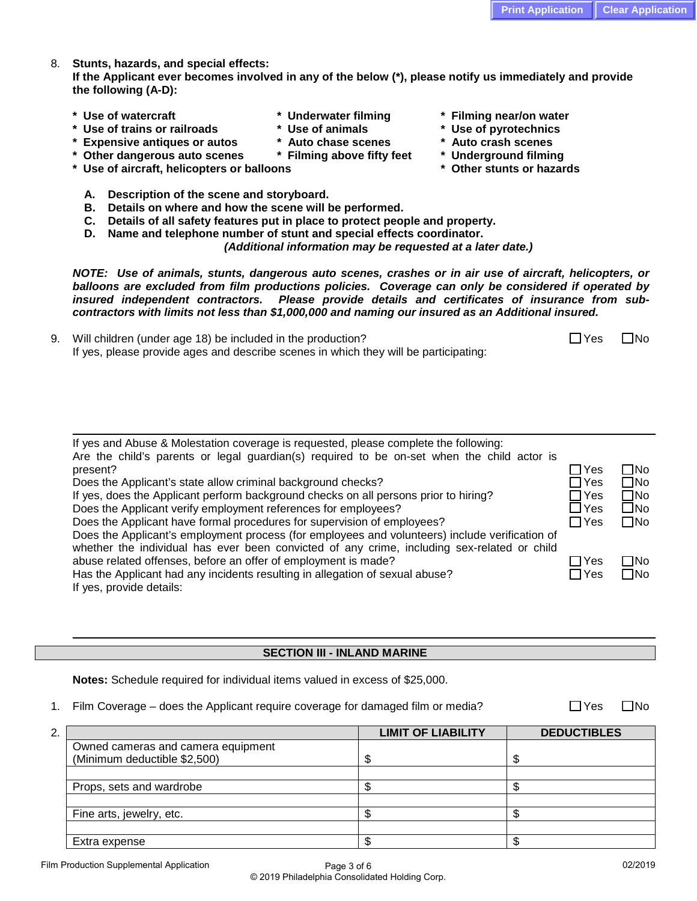8. **Stunts, hazards, and special effects:**

**If the Applicant ever becomes involved in any of the below (\*), please notify us immediately and provide the following (A-D):**

- 
- **\* Use of trains or railroads \* Use of animals \* Use of pyrotechnics**
- **\* Expensive antiques or autos \* Auto chase scenes \* Auto crash scenes**
- **\* Other dangerous auto scenes \* Filming above fifty feet \* Underground filming**
- **\* Use of aircraft, helicopters or balloons \* Other stunts or hazards**
	- **A. Description of the scene and storyboard.**
	- **B. Details on where and how the scene will be performed.**
	- **C. Details of all safety features put in place to protect people and property.**
	- **D. Name and telephone number of stunt and special effects coordinator.**

*(Additional information may be requested at a later date.)*

*NOTE: Use of animals, stunts, dangerous auto scenes, crashes or in air use of aircraft, helicopters, or balloons are excluded from film productions policies. Coverage can only be considered if operated by insured independent contractors. Please provide details and certificates of insurance from subcontractors with limits not less than \$1,000,000 and naming our insured as an Additional insured.*

9. Will children (under age 18) be included in the production?  $\Box$  Yes  $\Box$  Yes  $\Box$  No If yes, please provide ages and describe scenes in which they will be participating:

| If yes and Abuse & Molestation coverage is requested, please complete the following:           |            |              |
|------------------------------------------------------------------------------------------------|------------|--------------|
| Are the child's parents or legal guardian(s) required to be on-set when the child actor is     |            |              |
| present?                                                                                       | $\Box$ Yes | ΠNo          |
| Does the Applicant's state allow criminal background checks?                                   | $\Box$ Yes | $\square$ No |
| If yes, does the Applicant perform background checks on all persons prior to hiring?           | $\Box$ Yes | $\Box$ No    |
| Does the Applicant verify employment references for employees?                                 | $\Box$ Yes | $\square$ No |
| Does the Applicant have formal procedures for supervision of employees?                        | $\Box$ Yes | ΠNo          |
| Does the Applicant's employment process (for employees and volunteers) include verification of |            |              |
| whether the individual has ever been convicted of any crime, including sex-related or child    |            |              |
| abuse related offenses, before an offer of employment is made?                                 | $\Box$ Yes | ΠNo          |
| Has the Applicant had any incidents resulting in allegation of sexual abuse?                   | $\Box$ Yes | $\Box$ No    |
| If yes, provide details:                                                                       |            |              |

# **SECTION III - INLAND MARINE**

**Notes:** Schedule required for individual items valued in excess of \$25,000.

1. Film Coverage – does the Applicant require coverage for damaged film or media?  $\Box$  Yes  $\Box$  No

| 2. |                                    | <b>LIMIT OF LIABILITY</b> | <b>DEDUCTIBLES</b> |
|----|------------------------------------|---------------------------|--------------------|
|    | Owned cameras and camera equipment |                           |                    |
|    | (Minimum deductible \$2,500)       |                           |                    |
|    |                                    |                           |                    |
|    | Props, sets and wardrobe           |                           |                    |
|    |                                    |                           |                    |
|    | Fine arts, jewelry, etc.           |                           |                    |
|    |                                    |                           |                    |
|    | Extra expense                      |                           |                    |

- **\* Use of watercraft \* Underwater filming \* Filming near/on water**
	-
	-
	-
	-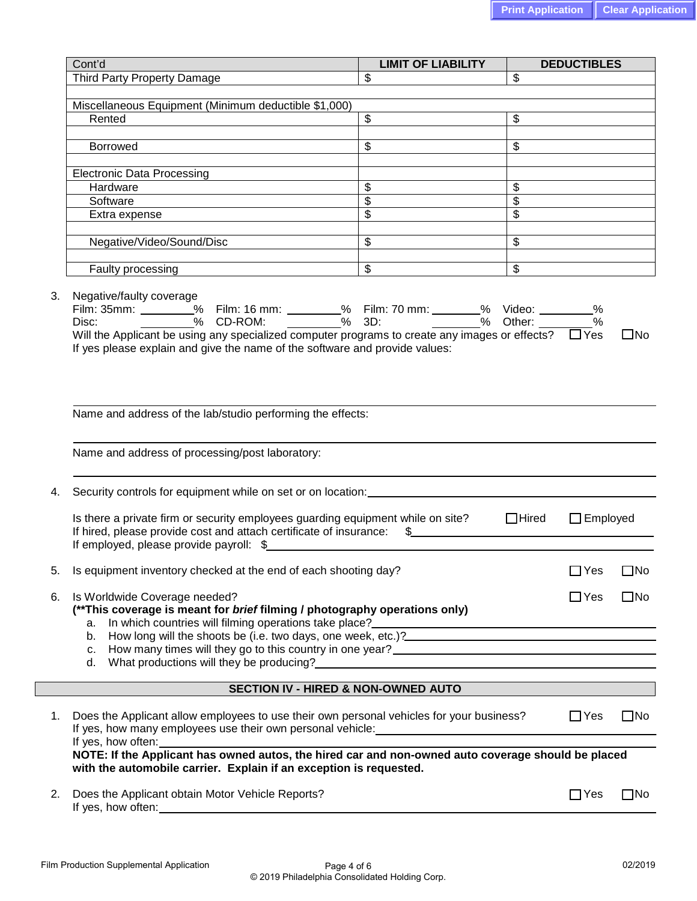|    | Cont'd                                                                                                                                                                                                                                                                                                                                                                   | <b>LIMIT OF LIABILITY</b>           |                          | <b>DEDUCTIBLES</b> |              |
|----|--------------------------------------------------------------------------------------------------------------------------------------------------------------------------------------------------------------------------------------------------------------------------------------------------------------------------------------------------------------------------|-------------------------------------|--------------------------|--------------------|--------------|
|    | Third Party Property Damage                                                                                                                                                                                                                                                                                                                                              | $\overline{\mathcal{S}}$            | \$                       |                    |              |
|    |                                                                                                                                                                                                                                                                                                                                                                          |                                     |                          |                    |              |
|    | Miscellaneous Equipment (Minimum deductible \$1,000)                                                                                                                                                                                                                                                                                                                     |                                     |                          |                    |              |
|    | Rented                                                                                                                                                                                                                                                                                                                                                                   | $\overline{\$}$                     | $\overline{\mathcal{S}}$ |                    |              |
|    |                                                                                                                                                                                                                                                                                                                                                                          |                                     |                          |                    |              |
|    | Borrowed                                                                                                                                                                                                                                                                                                                                                                 | $\overline{\mathcal{S}}$            | \$                       |                    |              |
|    | <b>Electronic Data Processing</b>                                                                                                                                                                                                                                                                                                                                        |                                     |                          |                    |              |
|    | Hardware                                                                                                                                                                                                                                                                                                                                                                 | $\overline{\mathcal{G}}$            | \$                       |                    |              |
|    | Software                                                                                                                                                                                                                                                                                                                                                                 | $\overline{\$}$                     | $\overline{\mathcal{G}}$ |                    |              |
|    | Extra expense                                                                                                                                                                                                                                                                                                                                                            | $\overline{\mathcal{S}}$            | $\overline{\mathcal{S}}$ |                    |              |
|    |                                                                                                                                                                                                                                                                                                                                                                          |                                     |                          |                    |              |
|    | Negative/Video/Sound/Disc                                                                                                                                                                                                                                                                                                                                                | $\overline{\mathcal{S}}$            | \$                       |                    |              |
|    | Faulty processing                                                                                                                                                                                                                                                                                                                                                        | $\overline{\$}$                     | $\overline{\mathcal{S}}$ |                    |              |
| 3. | Negative/faulty coverage<br>Film: 35mm: _______% Film: 16 mm: _______% Film: 70 mm: _______% Video: _______% Disc: _______% CD-ROM: _______% 3D: _______% Other: __________%<br>Will the Applicant be using any specialized computer programs to create any images or effects? $\Box$ Yes<br>If yes please explain and give the name of the software and provide values: |                                     |                          |                    | $\square$ No |
|    | Name and address of the lab/studio performing the effects:<br>Name and address of processing/post laboratory:                                                                                                                                                                                                                                                            |                                     |                          |                    |              |
| 4. | Security controls for equipment while on set or on location:                                                                                                                                                                                                                                                                                                             |                                     |                          |                    |              |
|    | Is there a private firm or security employees guarding equipment while on site?<br>If hired, please provide cost and attach certificate of insurance:<br>If employed, please provide payroll: \$                                                                                                                                                                         | $\sim$                              | $\Box$ Hired             | $\Box$ Employed    |              |
| 5. | Is equipment inventory checked at the end of each shooting day?                                                                                                                                                                                                                                                                                                          |                                     |                          | $\Box$ Yes         | $\square$ No |
| 6. | Is Worldwide Coverage needed?<br>(**This coverage is meant for brief filming / photography operations only)<br>а.                                                                                                                                                                                                                                                        |                                     |                          | $\square$ Yes      | $\square$ No |
|    | How long will the shoots be (i.e. two days, one week, etc.)?<br>The shoots be the two days, one week, etc.)?<br>b.                                                                                                                                                                                                                                                       |                                     |                          |                    |              |
|    |                                                                                                                                                                                                                                                                                                                                                                          |                                     |                          |                    |              |
|    | What productions will they be producing?<br>The same state of the state of the state of the state of the state of the state of the state of the state of the state of the state of the state of the state of the state of the st<br>d.                                                                                                                                   |                                     |                          |                    |              |
|    |                                                                                                                                                                                                                                                                                                                                                                          |                                     |                          |                    |              |
|    |                                                                                                                                                                                                                                                                                                                                                                          | SECTION IV - HIRED & NON-OWNED AUTO |                          |                    |              |
| 1. | Does the Applicant allow employees to use their own personal vehicles for your business?<br>If yes, how often:                                                                                                                                                                                                                                                           |                                     |                          | $\Box$ Yes         | $\square$ No |
|    | with the automobile carrier. Explain if an exception is requested.                                                                                                                                                                                                                                                                                                       |                                     |                          |                    |              |
| 2. | Does the Applicant obtain Motor Vehicle Reports?                                                                                                                                                                                                                                                                                                                         |                                     |                          | $\Box$ Yes         | $\square$ No |
|    |                                                                                                                                                                                                                                                                                                                                                                          |                                     |                          |                    |              |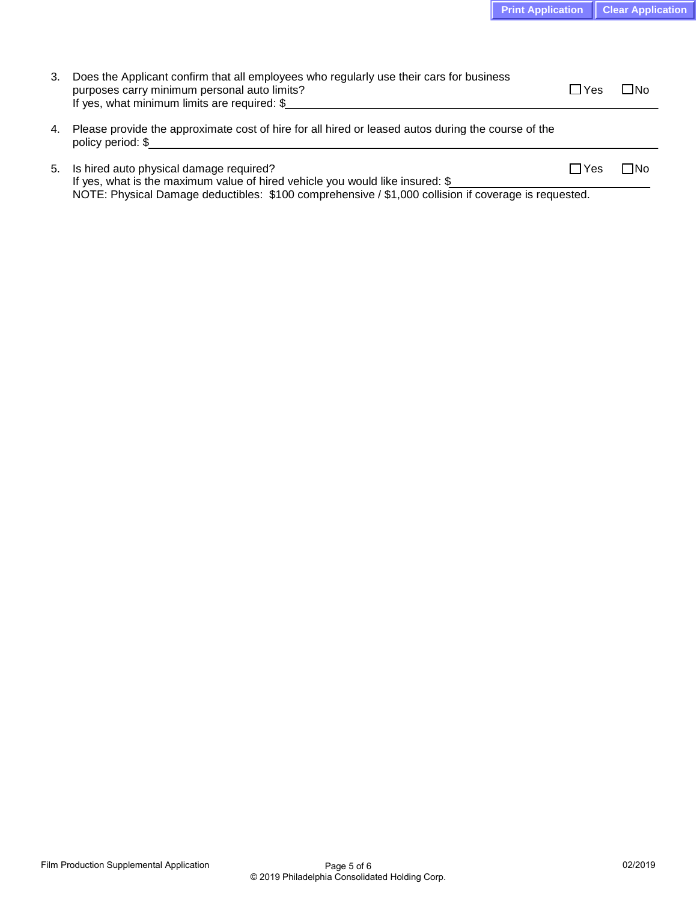| Does the Applicant confirm that all employees who regularly use their cars for business<br>purposes carry minimum personal auto limits?<br>If yes, what minimum limits are required: \$ | $\Box$ Yes | ⊟No |  |
|-----------------------------------------------------------------------------------------------------------------------------------------------------------------------------------------|------------|-----|--|
| 4. Please provide the approximate cost of hire for all hired or leased autos during the course of the                                                                                   |            |     |  |

5. Is hired auto physical damage required? The state of the state of the state of the Moscow of the SNO No If yes, what is the maximum value of hired vehicle you would like insured: \$ NOTE: Physical Damage deductibles: \$100 comprehensive / \$1,000 collision if coverage is requested.

policy period: \$